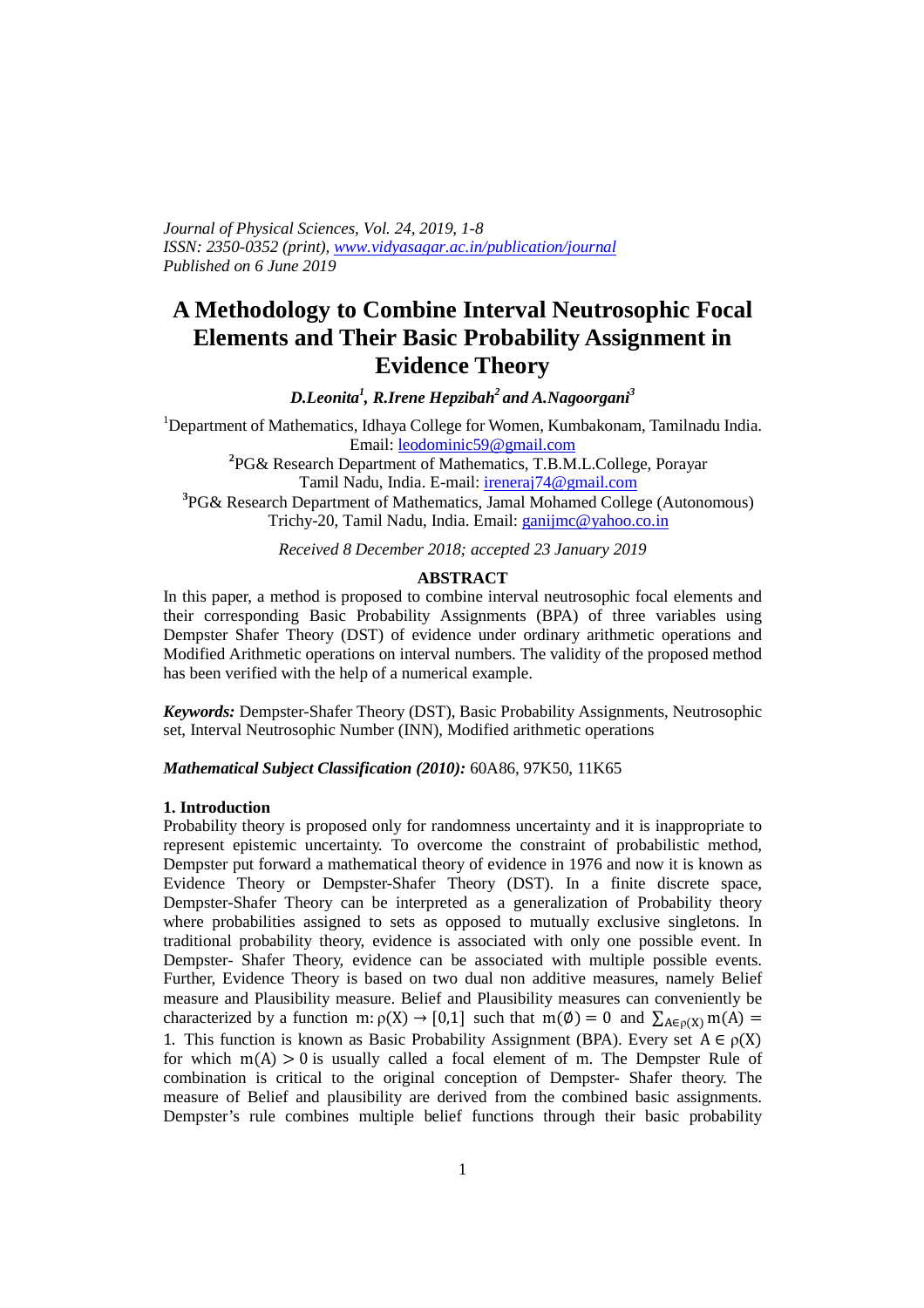*Journal of Physical Sciences, Vol. 24, 2019, 1-8 ISSN: 2350-0352 (print), www.vidyasagar.ac.in/publication/journal Published on 6 June 2019* 

# **A Methodology to Combine Interval Neutrosophic Focal Elements and Their Basic Probability Assignment in Evidence Theory**

*D.Leonita<sup>1</sup> , R.Irene Hepzibah<sup>2</sup>and A.Nagoorgani<sup>3</sup>*

<sup>1</sup>Department of Mathematics, Idhaya College for Women, Kumbakonam, Tamilnadu India. Email: leodominic59@gmail.com

> **2** PG& Research Department of Mathematics, T.B.M.L.College, Porayar Tamil Nadu, India. E-mail: ireneraj74@gmail.com

**3** PG& Research Department of Mathematics, Jamal Mohamed College (Autonomous) Trichy-20, Tamil Nadu, India. Email: ganijmc@yahoo.co.in

*Received 8 December 2018; accepted 23 January 2019* 

#### **ABSTRACT**

In this paper, a method is proposed to combine interval neutrosophic focal elements and their corresponding Basic Probability Assignments (BPA) of three variables using Dempster Shafer Theory (DST) of evidence under ordinary arithmetic operations and Modified Arithmetic operations on interval numbers. The validity of the proposed method has been verified with the help of a numerical example.

*Keywords:* Dempster-Shafer Theory (DST), Basic Probability Assignments, Neutrosophic set, Interval Neutrosophic Number (INN), Modified arithmetic operations

*Mathematical Subject Classification (2010):* 60A86, 97K50, 11K65

#### **1. Introduction**

Probability theory is proposed only for randomness uncertainty and it is inappropriate to represent epistemic uncertainty. To overcome the constraint of probabilistic method, Dempster put forward a mathematical theory of evidence in 1976 and now it is known as Evidence Theory or Dempster-Shafer Theory (DST). In a finite discrete space, Dempster-Shafer Theory can be interpreted as a generalization of Probability theory where probabilities assigned to sets as opposed to mutually exclusive singletons. In traditional probability theory, evidence is associated with only one possible event. In Dempster- Shafer Theory, evidence can be associated with multiple possible events. Further, Evidence Theory is based on two dual non additive measures, namely Belief measure and Plausibility measure. Belief and Plausibility measures can conveniently be characterized by a function m:  $\rho(X) \rightarrow [0,1]$  such that  $m(\emptyset) = 0$  and  $\sum_{A \in \rho(X)} m(A) =$ 1. This function is known as Basic Probability Assignment (BPA). Every set  $A \in \rho(X)$ for which  $m(A) > 0$  is usually called a focal element of m. The Dempster Rule of combination is critical to the original conception of Dempster- Shafer theory. The measure of Belief and plausibility are derived from the combined basic assignments. Dempster's rule combines multiple belief functions through their basic probability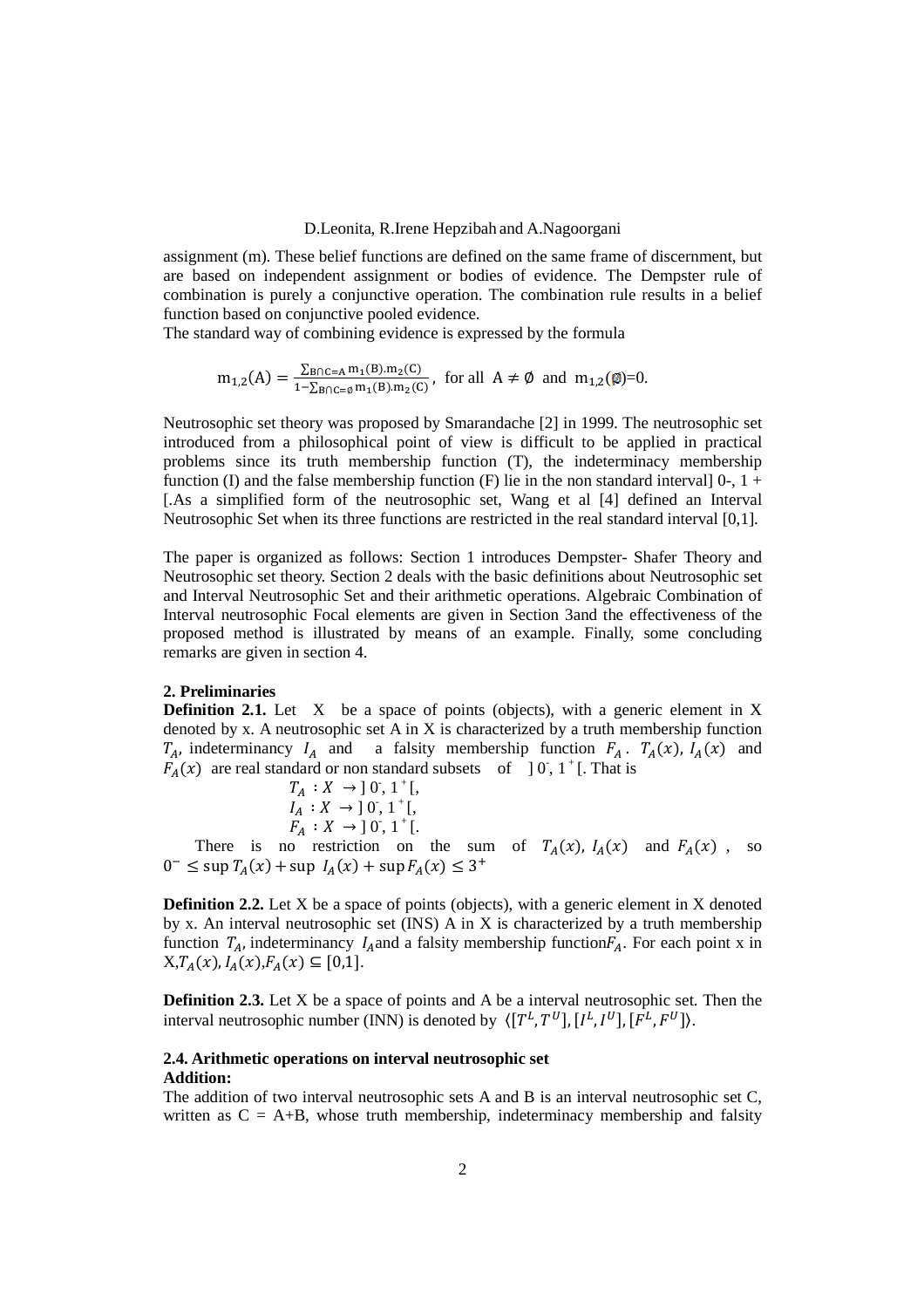assignment (m). These belief functions are defined on the same frame of discernment, but are based on independent assignment or bodies of evidence. The Dempster rule of combination is purely a conjunctive operation. The combination rule results in a belief function based on conjunctive pooled evidence.

The standard way of combining evidence is expressed by the formula

$$
m_{1,2}(A)=\tfrac{\sum_{B\cap C=A}m_1(B).m_2(C)}{1-\sum_{B\cap C=\emptyset}m_1(B).m_2(C)},\ \text{ for all }\ A\neq\emptyset\ \text{ and }\ m_{1,2}(\emptyset)=0.
$$

Neutrosophic set theory was proposed by Smarandache [2] in 1999. The neutrosophic set introduced from a philosophical point of view is difficult to be applied in practical problems since its truth membership function (T), the indeterminacy membership function (I) and the false membership function (F) lie in the non standard interval  $]$ 0-,  $]$  + [.As a simplified form of the neutrosophic set, Wang et al [4] defined an Interval Neutrosophic Set when its three functions are restricted in the real standard interval [0,1].

The paper is organized as follows: Section 1 introduces Dempster- Shafer Theory and Neutrosophic set theory. Section 2 deals with the basic definitions about Neutrosophic set and Interval Neutrosophic Set and their arithmetic operations. Algebraic Combination of Interval neutrosophic Focal elements are given in Section 3and the effectiveness of the proposed method is illustrated by means of an example. Finally, some concluding remarks are given in section 4.

#### **2. Preliminaries**

**Definition 2.1.** Let X be a space of points (objects), with a generic element in X denoted by x. A neutrosophic set A in X is characterized by a truth membership function  $T_A$ , indeterminancy  $I_A$  and a falsity membership function  $F_A$ .  $T_A(x)$ ,  $I_A(x)$  and  $F_A(x)$  are real standard or non standard subsets of ] 0, 1<sup>+</sup>[. That is

$$
T_A: X \to [0, 1^+[, I_A: X \to [0, 1^+[, F_A: X \to [0, 1^+].
$$

There is no restriction on the sum of  $T_A(x)$ ,  $I_A(x)$  and  $F_A(x)$ , so  $0^- \leq \sup T_A(x) + \sup I_A(x) + \sup F_A(x) \leq 3^+$ 

**Definition 2.2.** Let X be a space of points (objects), with a generic element in X denoted by x. An interval neutrosophic set (INS) A in X is characterized by a truth membership function  $T_A$ , indeterminancy  $I_A$  and a falsity membership function $F_A$ . For each point x in  $X, T_A(x), I_A(x), F_A(x) \subseteq [0,1].$ 

**Definition 2.3.** Let X be a space of points and A be a interval neutrosophic set. Then the interval neutrosophic number (INN) is denoted by  $\langle [T^L, T^U], [I^L, I^U], [F^L, F^U] \rangle$ .

#### **2.4. Arithmetic operations on interval neutrosophic set Addition:**

The addition of two interval neutrosophic sets A and B is an interval neutrosophic set C, written as  $C = A+B$ , whose truth membership, indeterminacy membership and falsity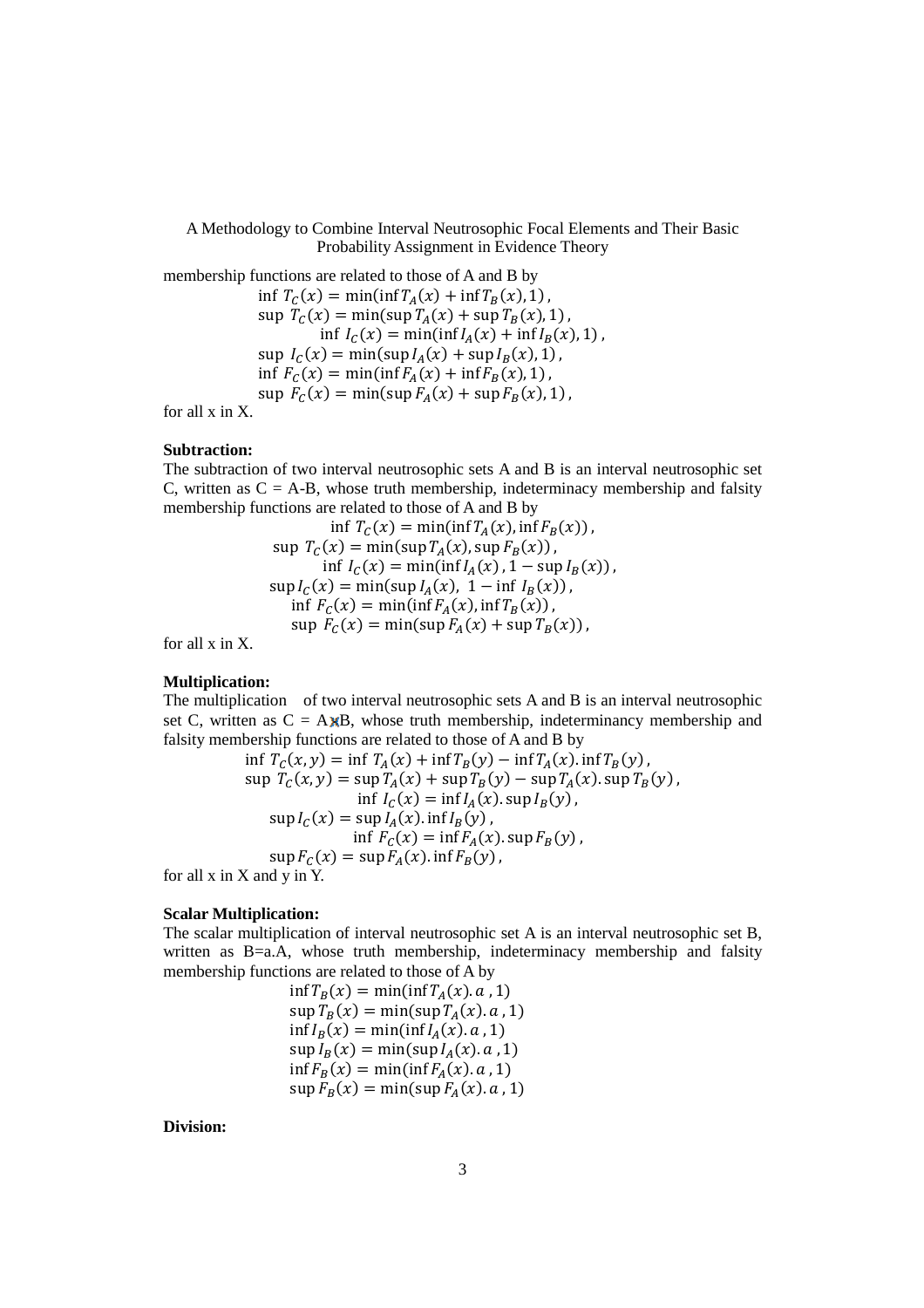A Methodology to Combine Interval Neutrosophic Focal Elements and Their Basic Probability Assignment in Evidence Theory

membership functions are related to those of A and B by inf  $T_c(x) = \min(\inf T_A(x) + \inf T_B(x), 1)$ ,  $\sup T_C(x) = \min(\sup T_A(x) + \sup T_B(x), 1)$ , inf  $I_c(x) = \min(\inf I_A(x) + \inf I_B(x), 1)$ ,  $\sup I_C(x) = \min(\sup I_A(x) + \sup I_B(x), 1)$ ,  $\inf F_C(x) = \min(\inf F_A(x) + \inf F_B(x), 1),$  $\sup F_c(x) = \min(\sup F_A(x) + \sup F_B(x), 1),$ 

for all x in X.

# **Subtraction:**

The subtraction of two interval neutrosophic sets A and B is an interval neutrosophic set C, written as  $C = A-B$ , whose truth membership, indeterminacy membership and falsity membership functions are related to those of A and B by

$$
\inf T_C(x) = \min(\inf T_A(x), \inf F_B(x)),
$$
  
\n
$$
\sup T_C(x) = \min(\sup T_A(x), \sup F_B(x)),
$$
  
\n
$$
\inf I_C(x) = \min(\inf I_A(x), 1 - \sup I_B(x)),
$$
  
\n
$$
\sup I_C(x) = \min(\sup I_A(x), 1 - \inf I_B(x)),
$$
  
\n
$$
\inf F_C(x) = \min(\inf F_A(x), \inf T_B(x)),
$$
  
\n
$$
\sup F_C(x) = \min(\sup F_A(x) + \sup T_B(x)),
$$

for all x in X.

#### **Multiplication:**

The multiplication of two interval neutrosophic sets A and B is an interval neutrosophic set C, written as  $C = A \chi B$ , whose truth membership, indeterminancy membership and falsity membership functions are related to those of A and B by

$$
\inf T_C(x, y) = \inf T_A(x) + \inf T_B(y) - \inf T_A(x) \cdot \inf T_B(y),
$$
  
\n
$$
\sup T_C(x, y) = \sup T_A(x) + \sup T_B(y) - \sup T_A(x) \cdot \sup T_B(y),
$$
  
\n
$$
\inf I_C(x) = \inf I_A(x) \cdot \sup I_B(y),
$$
  
\n
$$
\sup I_C(x) = \sup I_A(x) \cdot \inf I_B(y),
$$
  
\n
$$
\inf F_C(x) = \inf F_A(x) \cdot \sup F_B(y),
$$
  
\n
$$
\sup F_C(x) = \sup F_A(x) \cdot \inf F_B(y),
$$

for all x in X and y in Y.

#### **Scalar Multiplication:**

The scalar multiplication of interval neutrosophic set A is an interval neutrosophic set B, written as B=a.A, whose truth membership, indeterminacy membership and falsity membership functions are related to those of A by

$$
\inf T_B(x) = \min(\inf T_A(x).a, 1)
$$
  
\n
$$
\sup T_B(x) = \min(\sup T_A(x).a, 1)
$$
  
\n
$$
\inf I_B(x) = \min(\inf I_A(x).a, 1)
$$
  
\n
$$
\sup I_B(x) = \min(\sup I_A(x).a, 1)
$$
  
\n
$$
\inf F_B(x) = \min(\inf F_A(x).a, 1)
$$
  
\n
$$
\sup F_B(x) = \min(\sup F_A(x).a, 1)
$$

**Division:**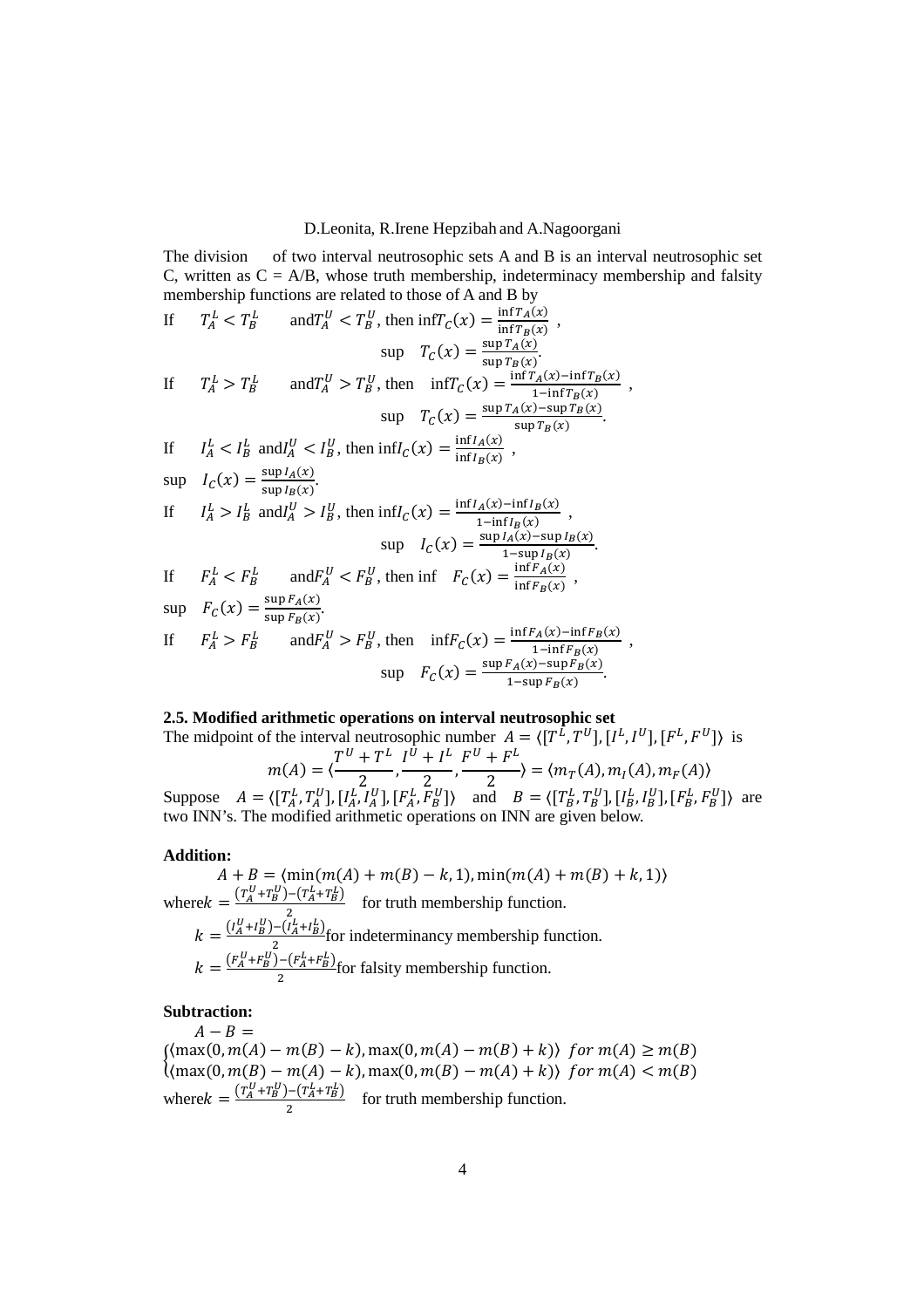The division of two interval neutrosophic sets A and B is an interval neutrosophic set C, written as  $C = A/B$ , whose truth membership, indeterminacy membership and falsity membership functions are related to those of A and B by

If 
$$
T_A^L < T_B^L
$$
 and  $T_A^U < T_B^U$ , then  $\inf T_C(x) = \frac{\inf T_A(x)}{\inf T_B(x)}$ ,  
\n $\sup$   $T_C(x) = \frac{\sup T_A(x)}{\sup T_B(x)}$ .  
\nIf  $T_A^L > T_B^L$  and  $T_A^U > T_B^U$ , then  $\inf T_C(x) = \frac{\inf T_A(x) - \inf T_B(x)}{1 - \inf T_B(x)}$ ,  
\n $\sup$   $T_C(x) = \frac{\sup T_A(x) - \sup T_B(x)}{\sup T_B(x)}$ .  
\nIf  $I_A^L < I_B^L$  and  $I_A^U < I_B^U$ , then  $\inf I_C(x) = \frac{\inf I_A(x)}{\inf I_B(x)}$ ,  
\n $\sup$   $I_C(x) = \frac{\sup I_A(x)}{\sup I_B(x)}$ .  
\nIf  $I_A^L > I_B^L$  and  $I_A^U > I_B^U$ , then  $\inf I_C(x) = \frac{\inf I_A(x) - \inf I_B(x)}{1 - \inf I_B(x)}$ ,  
\n $\sup$   $I_C(x) = \frac{\sup I_A(x) - \sup I_B(x)}{1 - \sup I_B(x)}$ .  
\nIf  $F_A^L < F_B^L$  and  $F_A^U < F_B^U$ , then  $\inf F_C(x) = \frac{\inf F_A(x)}{\inf F_B(x)}$ ,  
\n $\sup$   $F_C(x) = \frac{\sup F_A(x)}{\sup F_B(x)}$ .  
\nIf  $F_A^L > F_B^L$  and  $F_A^U > F_B^U$ , then  $\inf F_C(x) = \frac{\inf F_A(x) - \inf F_B(x)}{1 - \inf F_B(x)}$ ,  
\n $\sup F_C(x) = \frac{\sup F_A(x) - \sup F_B(x)}{1 - \sup F_B(x)}$ ,  
\n $\sup F_C(x) = \frac{\sup F_A(x) - \sup F_B(x)}{1 - \sup F_B(x)}$ .

#### **2.5. Modified arithmetic operations on interval neutrosophic set**

The midpoint of the interval neutrosophic number 
$$
A = \langle [T^{\tilde{L}}, T^U], [I^L, I^U], [F^L, F^U] \rangle
$$
 is  
\n
$$
m(A) = \langle \frac{T^U + T^L}{2}, \frac{I^U + I^L}{2}, \frac{F^U + F^L}{2} \rangle = \langle m_T(A), m_I(A), m_F(A) \rangle
$$
\nSuppose  $A = \langle [T_A^L, T_A^U], [I_A^L, I_A^U], [F_A^L, F_B^U] \rangle$  and  $B = \langle [T_B^L, T_B^U], [I_B^L, I_B^U], [F_B^L, F_B^U] \rangle$  are

two INN's. The modified arithmetic operations on INN are given below.

**Addition:**<br> $A + B = \langle \min(m(A) + m(B) - k, 1), \min(m(A) + m(B) + k, 1) \rangle$  $A + B = \langle min(m(A) + m(B) - k, 1), min(m(A) + m(B) + k, 1) \rangle$ where  $k = \frac{(T_A^U + T_B^U) - (T_A^L + T_B^L)}{2}$  $\frac{(A_1 + B)}{2}$  for truth membership function.  $k = \frac{(I_A^U + I_B^U) - (I_A^L + I_B^L)}{2}$  $\frac{f^2 - (I_A + I_B)}{2}$  for indeterminancy membership function.  $k = \frac{(F_A^U + F_B^U) - (F_A^L + F_B^L)}{2}$  $\frac{(A_1 + B_2)}{2}$  for falsity membership function.

# **Subtraction:**

 $A - B =$  $\{\text{max}(0, m(A) - m(B) - k), \text{max}(0, m(A) - m(B) + k)\}$  for  $m(A) \ge m(B)$ <br> $\text{max}(0, m(B) - m(A) - k)$  may(0 m(R) - m(A) + k)) for m(A) < m(R)  $\{\max(0, m(B) - m(A) - k), \max(0, m(B) - m(A) + k)\}$  for  $m(A) < m(B)$ where  $k = \frac{(T_A^U + T_B^U) - (T_A^L + T_B^L)}{2}$  $\frac{(A_1 + B)}{2}$  for truth membership function.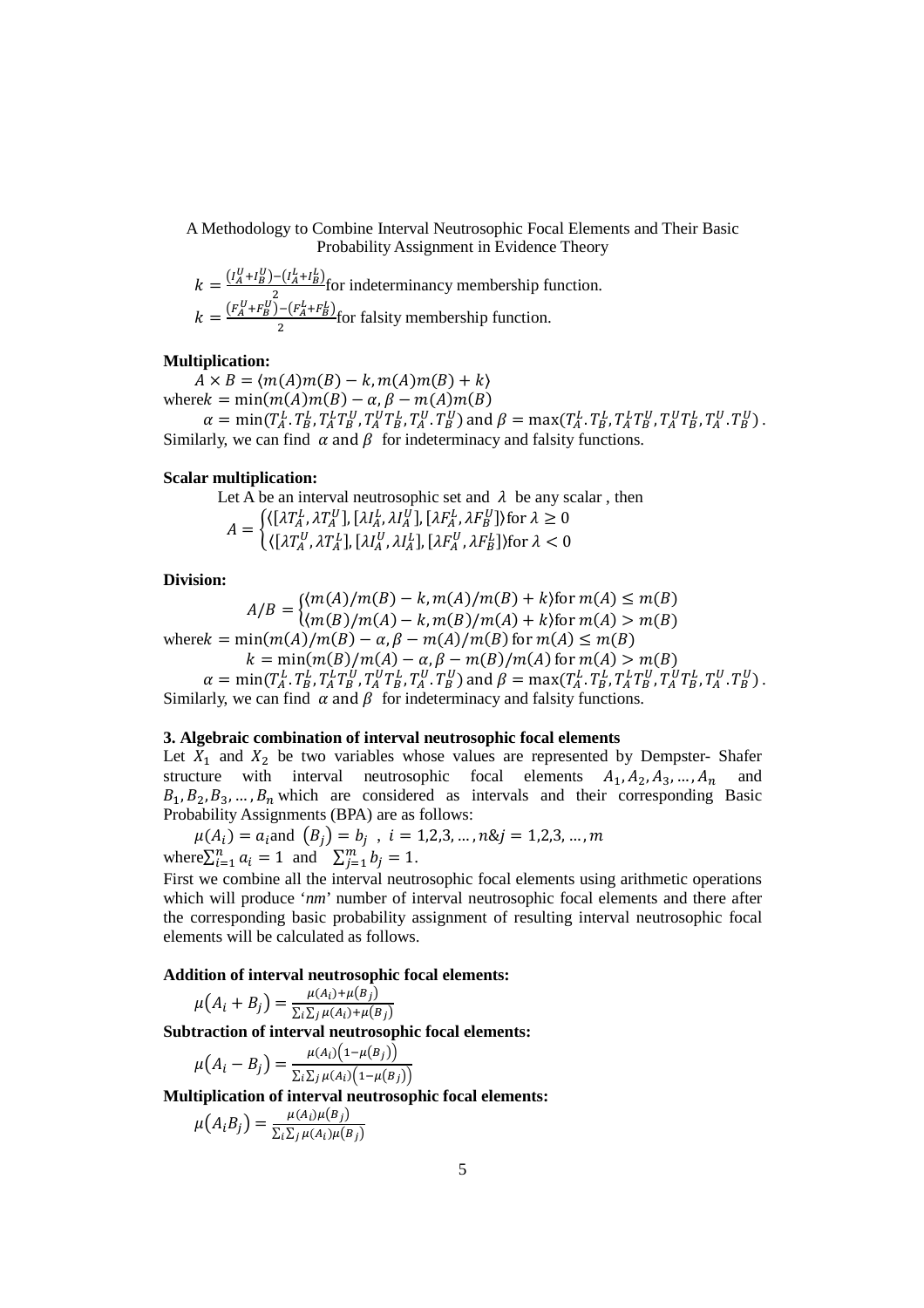A Methodology to Combine Interval Neutrosophic Focal Elements and Their Basic Probability Assignment in Evidence Theory

$$
k = \frac{(I_A^U + I_B^U) - (I_A^L + I_B^L)}{2}
$$
 for indeterminancy membership function.  

$$
k = \frac{(F_A^U + F_B^U) - (F_A^L + F_B^L)}{2}
$$
 for falsity membership function.

#### **Multiplication:**

 $A \times B = \langle m(A)m(B) - k, m(A)m(B) + k \rangle$ where  $k = min(m(A)m(B) - \alpha, \beta - m(A)m(B))$  $\alpha = \min(T_A^L, T_B^L, T_A^L T_B^U, T_A^U T_B^L, T_A^U, T_B^U)$  and  $\beta = \max(T_A^L, T_B^L, T_A^L T_B^U, T_A^U T_B^L, T_A^U, T_B^U)$ . Similarly, we can find  $\alpha$  and  $\beta$  for indeterminacy and falsity functions.

#### **Scalar multiplication:**

Let A be an interval neutrosophic set and  $\lambda$  be any scalar, then

 $A = \begin{cases} \langle [\lambda T_A^L, \lambda T_A^U], [\lambda I_A^L, \lambda I_A^U], [\lambda F_A^L, \lambda F_B^U] \rangle \\ \langle [3T_B^U, 3T_B^U, 3T_B^U, 3T_B^U, 3T_B^U] \rangle \end{cases}$  $\langle \left[ \lambda T^U_A, \lambda T^L_A \right], \left[ \lambda I^U_A, \lambda I^L_A \right], \left[ \lambda F^U_A, \lambda F^L_B \right] \rangle$  for  $\lambda < 0$ 

#### **Division:**

$$
A/B = \begin{cases} (m(A)/m(B) - k, m(A)/m(B) + k) \text{ for } m(A) \le m(B) \\ (m(B)/m(A) - k, m(B)/m(A) + k) \text{ for } m(A) > m(B) \end{cases}
$$
  
where $k = \min(m(A)/m(B) - \alpha, \beta - m(A)/m(B)$  for  $m(A) \le m(B)$   
 $k = \min(m(B)/m(A) - \alpha, \beta - m(B)/m(A)$  for  $m(A) > m(B)$ 

 $\alpha = \min(T_A^L, T_B^L, T_A^L T_B^U, T_A^U T_B^L, T_A^U T_B^U)$  and  $\beta = \max(T_A^L, T_B^L, T_A^L T_B^U, T_A^U T_B^L, T_A^U T_B^U)$ . Similarly, we can find  $\alpha$  and  $\beta$  for indeterminacy and falsity functions.

# **3. Algebraic combination of interval neutrosophic focal elements**

Let  $X_1$  and  $X_2$  be two variables whose values are represented by Dempster- Shafer structure with interval neutrosophic focal elements  $A_1, A_2, A_3, ..., A_n$  and  $B_1, B_2, B_3, \ldots, B_n$  which are considered as intervals and their corresponding Basic Probability Assignments (BPA) are as follows:

 $\mu(A_i) = a_i$  and  $(B_j) = b_j$ ,  $i = 1, 2, 3, ..., n$ & $j = 1, 2, 3, ..., m$ where  $\sum_{i=1}^{n} a_i = 1$  and  $\sum_{j=1}^{m} b_j = 1$ .

First we combine all the interval neutrosophic focal elements using arithmetic operations which will produce '*nm*' number of interval neutrosophic focal elements and there after the corresponding basic probability assignment of resulting interval neutrosophic focal elements will be calculated as follows.

#### **Addition of interval neutrosophic focal elements:**

 $\mu(A_i + B_j) = \frac{\mu(A_i) + \mu(B_j)}{\sum_i \sum_i \mu(A_i) + \mu(B_j)}$  $\sum_i \sum_j \mu(A_i) + \mu(B_j)$ 

**Subtraction of interval neutrosophic focal elements:** 

$$
\mu(A_i - B_j) = \frac{\mu(A_i)(1 - \mu(B_j))}{\sum_i \sum_j \mu(A_i)(1 - \mu(B_j))}
$$

**Multiplication of interval neutrosophic focal elements:** 

$$
\mu(A_i B_j) = \frac{\mu(A_i)\mu(B_j)}{\sum_i \sum_j \mu(A_i)\mu(B_j)}
$$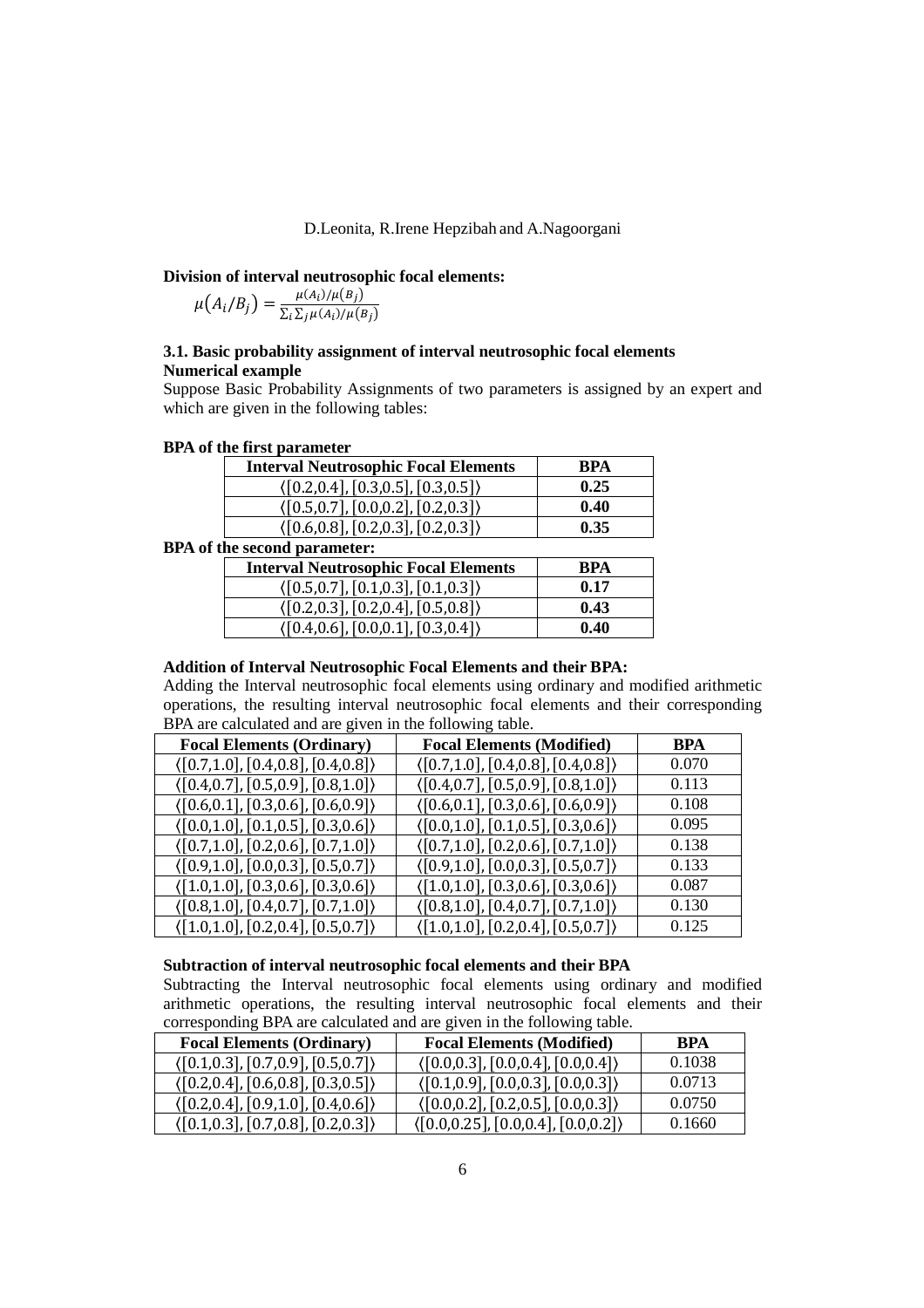#### **Division of interval neutrosophic focal elements:**

$$
\mu(A_i/B_j) = \frac{\mu(A_i)/\mu(B_j)}{\sum_i \sum_j \mu(A_i)/\mu(B_j)}
$$

# **3.1. Basic probability assignment of interval neutrosophic focal elements Numerical example**

Suppose Basic Probability Assignments of two parameters is assigned by an expert and which are given in the following tables:

| <b>Interval Neutrosophic Focal Elements</b>          | <b>BPA</b> |
|------------------------------------------------------|------------|
| $\langle [0.2, 0.4], [0.3, 0.5], [0.3, 0.5] \rangle$ | 0.25       |
| $\langle [0.5, 0.7], [0.0, 0.2], [0.2, 0.3] \rangle$ | 0.40       |
| $\langle [0.6, 0.8], [0.2, 0.3], [0.2, 0.3] \rangle$ | 0.35       |

# **BPA of the first parameter**

# **BPA of the second parameter:**

| <b>Interval Neutrosophic Focal Elements</b>          | <b>RPA</b> |
|------------------------------------------------------|------------|
| $\langle [0.5, 0.7], [0.1, 0.3], [0.1, 0.3] \rangle$ | 0.17       |
| $\langle [0.2, 0.3], [0.2, 0.4], [0.5, 0.8] \rangle$ | 0.43       |
| $\langle [0.4, 0.6], [0.0, 0.1], [0.3, 0.4] \rangle$ | 0.40       |

## **Addition of Interval Neutrosophic Focal Elements and their BPA:**

Adding the Interval neutrosophic focal elements using ordinary and modified arithmetic operations, the resulting interval neutrosophic focal elements and their corresponding BPA are calculated and are given in the following table.

| <b>Focal Elements (Ordinary)</b>                     | <b>Focal Elements (Modified)</b>                     | <b>BPA</b> |
|------------------------------------------------------|------------------------------------------------------|------------|
| $\langle [0.7,1.0], [0.4,0.8], [0.4,0.8] \rangle$    | $\langle [0.7, 1.0], [0.4, 0.8], [0.4, 0.8] \rangle$ | 0.070      |
| $\langle [0.4, 0.7], [0.5, 0.9], [0.8, 1.0] \rangle$ | $\langle [0.4, 0.7], [0.5, 0.9], [0.8, 1.0] \rangle$ | 0.113      |
| $\langle [0.6, 0.1], [0.3, 0.6], [0.6, 0.9] \rangle$ | $\langle [0.6, 0.1], [0.3, 0.6], [0.6, 0.9] \rangle$ | 0.108      |
| $\langle [0.0, 1.0], [0.1, 0.5], [0.3, 0.6] \rangle$ | $\langle [0.0, 1.0], [0.1, 0.5], [0.3, 0.6] \rangle$ | 0.095      |
| $\langle [0.7, 1.0], [0.2, 0.6], [0.7, 1.0] \rangle$ | $\langle [0.7,1.0], [0.2,0.6], [0.7,1.0] \rangle$    | 0.138      |
| $\langle [0.9, 1.0], [0.0, 0.3], [0.5, 0.7] \rangle$ | $\langle [0.9, 1.0], [0.0, 0.3], [0.5, 0.7] \rangle$ | 0.133      |
| $\langle [1.0,1.0], [0.3,0.6], [0.3,0.6] \rangle$    | $\langle [1.0,1.0], [0.3,0.6], [0.3,0.6] \rangle$    | 0.087      |
| $\langle [0.8, 1.0], [0.4, 0.7], [0.7, 1.0] \rangle$ | $\langle [0.8, 1.0], [0.4, 0.7], [0.7, 1.0] \rangle$ | 0.130      |
| $\langle [1.0,1.0], [0.2,0.4], [0.5,0.7] \rangle$    | $\langle [1.0,1.0], [0.2,0.4], [0.5,0.7] \rangle$    | 0.125      |

# **Subtraction of interval neutrosophic focal elements and their BPA**

Subtracting the Interval neutrosophic focal elements using ordinary and modified arithmetic operations, the resulting interval neutrosophic focal elements and their corresponding BPA are calculated and are given in the following table.

| <b>Focal Elements (Ordinary)</b>                     | <b>Focal Elements (Modified)</b>                      | <b>BPA</b> |
|------------------------------------------------------|-------------------------------------------------------|------------|
| $\langle [0.1, 0.3], [0.7, 0.9], [0.5, 0.7] \rangle$ | (0.0, 0.3], [0.0, 0.4], [0.0, 0.4])                   | 0.1038     |
| $\langle [0.2, 0.4], [0.6, 0.8], [0.3, 0.5] \rangle$ | $\langle [0.1, 0.9], [0.0, 0.3], [0.0, 0.3] \rangle$  | 0.0713     |
| $\langle [0.2, 0.4], [0.9, 1.0], [0.4, 0.6] \rangle$ | $\langle [0.0, 0.2], [0.2, 0.5], [0.0, 0.3] \rangle$  | 0.0750     |
| $\langle [0.1, 0.3], [0.7, 0.8], [0.2, 0.3] \rangle$ | $\langle [0.0, 0.25], [0.0, 0.4], [0.0, 0.2] \rangle$ | 0.1660     |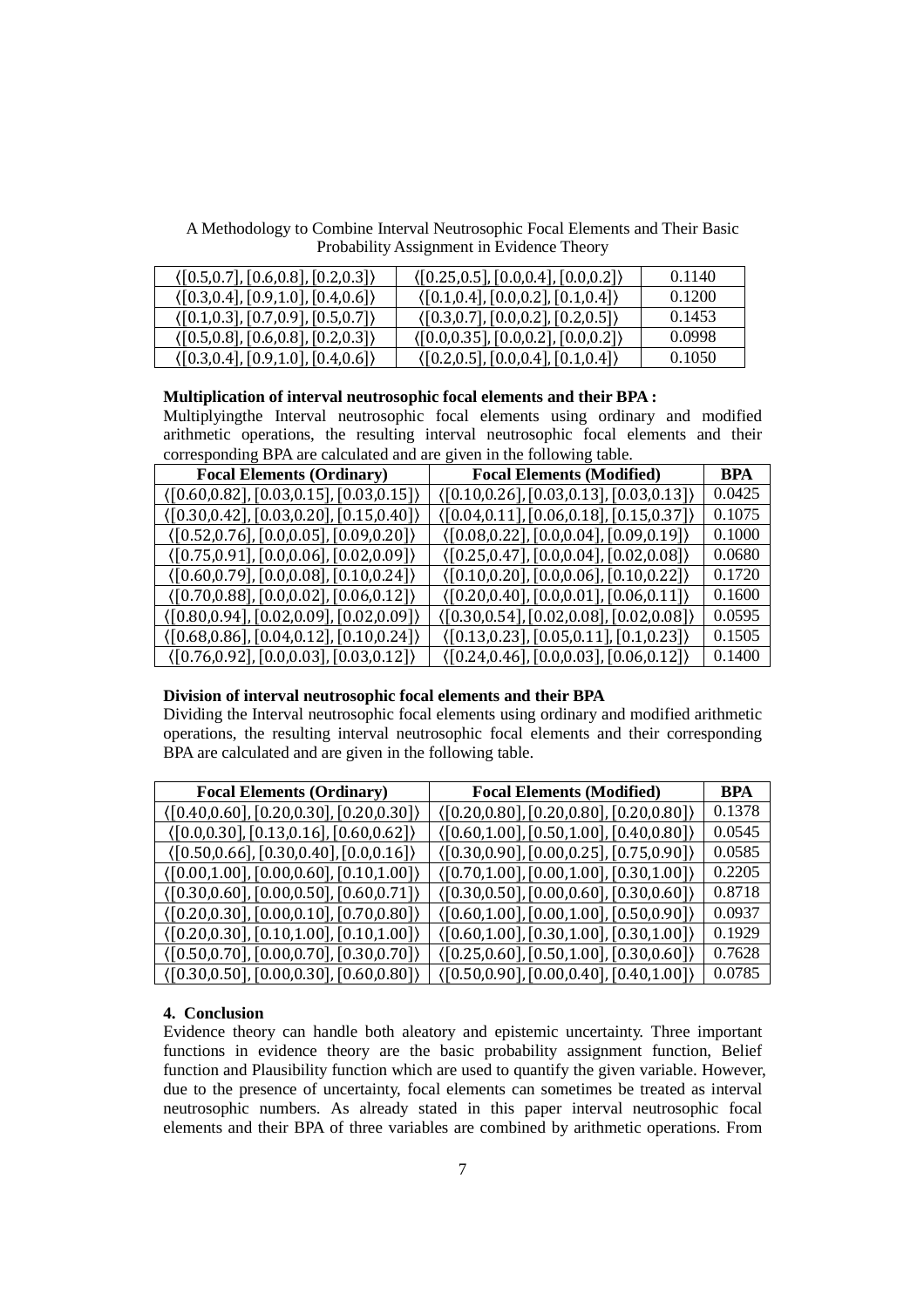A Methodology to Combine Interval Neutrosophic Focal Elements and Their Basic Probability Assignment in Evidence Theory

| $\langle [0.5, 0.7], [0.6, 0.8], [0.2, 0.3] \rangle$ | $\langle$ [0.25,0.5], [0.0,0.4], [0.0,0.2])           | 0.1140 |
|------------------------------------------------------|-------------------------------------------------------|--------|
| $\langle [0.3, 0.4], [0.9, 1.0], [0.4, 0.6] \rangle$ | $\langle [0.1, 0.4], [0.0, 0.2], [0.1, 0.4] \rangle$  | 0.1200 |
| $\langle [0.1, 0.3], [0.7, 0.9], [0.5, 0.7] \rangle$ | $\langle [0.3, 0.7], [0.0, 0.2], [0.2, 0.5] \rangle$  | 0.1453 |
| $\langle [0.5, 0.8], [0.6, 0.8], [0.2, 0.3] \rangle$ | $\langle [0.0, 0.35], [0.0, 0.2], [0.0, 0.2] \rangle$ | 0.0998 |
| $\langle [0.3, 0.4], [0.9, 1.0], [0.4, 0.6] \rangle$ | $\langle [0.2, 0.5], [0.0, 0.4], [0.1, 0.4] \rangle$  | 0.1050 |

#### **Multiplication of interval neutrosophic focal elements and their BPA :**

Multiplyingthe Interval neutrosophic focal elements using ordinary and modified arithmetic operations, the resulting interval neutrosophic focal elements and their corresponding BPA are calculated and are given in the following table.

| <b>Focal Elements (Ordinary)</b>                          | <b>Focal Elements (Modified)</b>                          | <b>BPA</b> |
|-----------------------------------------------------------|-----------------------------------------------------------|------------|
| (0.60, 0.82, 0.03, 0.15, 0.03, 0.15)                      | (0.10, 0.26, 0.03, 0.13, 0.03, 0.13)                      | 0.0425     |
| (0.30, 0.42, 0.03, 0.20, 0.15, 0.40)                      | $(0.04, 0.11], [0.06, 0.18], [0.15, 0.37])$               | 0.1075     |
| (0.52, 0.76, 0.0, 0.05, 0.09, 0.20)                       | (0.08, 0.22, 0.0, 0.04, 0.09, 0.19)                       | 0.1000     |
| (0.75, 0.91, 0.0, 0.06, 0.02, 0.09)                       | $([0.25, 0.47], [0.0, 0.04], [0.02, 0.08])$               | 0.0680     |
| (0.60, 0.79, 0.0, 0.08, 0.10, 0.24)                       | $(0.10, 0.20], [0.0, 0.06], [0.10, 0.22])$                | 0.1720     |
| $(0.70, 0.88], [0.0, 0.02], [0.06, 0.12])$                | $(0.20, 0.40], [0.0, 0.01], [0.06, 0.11])$                | 0.1600     |
| (0.80, 0.94, 0.02, 0.09, 0.02, 0.09)                      | $( [0.30, 0.54], [0.02, 0.08], [0.02, 0.08])$             | 0.0595     |
| $(0.68, 0.86], [0.04, 0.12], [0.10, 0.24])$               | $\langle [0.13, 0.23], [0.05, 0.11], [0.1, 0.23] \rangle$ | 0.1505     |
| $\langle [0.76, 0.92], [0.0, 0.03], [0.03, 0.12] \rangle$ | $(0.24, 0.46], [0.0, 0.03], [0.06, 0.12])$                | 0.1400     |

# **Division of interval neutrosophic focal elements and their BPA**

Dividing the Interval neutrosophic focal elements using ordinary and modified arithmetic operations, the resulting interval neutrosophic focal elements and their corresponding BPA are calculated and are given in the following table.

| <b>Focal Elements (Ordinary)</b>              | <b>Focal Elements (Modified)</b>              | <b>BPA</b> |
|-----------------------------------------------|-----------------------------------------------|------------|
| $( [0.40, 0.60], [0.20, 0.30], [0.20, 0.30])$ | $( [0.20, 0.80], [0.20, 0.80], [0.20, 0.80])$ | 0.1378     |
| $(0.0, 0.30], [0.13, 0.16], [0.60, 0.62])$    | $(0.60, 1.00], [0.50, 1.00], [0.40, 0.80])$   | 0.0545     |
| (0.50, 0.66, 0.30, 0.40, 0.00, 0.16)          | (0.30, 0.90, 0.00, 0.25, 0.75, 0.90)          | 0.0585     |
| $(0.00, 1.00], [0.00, 0.60], [0.10, 1.00])$   | $( [0.70, 1.00], [0.00, 1.00], [0.30, 1.00])$ | 0.2205     |
| (0.30, 0.60, 0.00, 0.50, 0.60, 0.71)          | (0.30, 0.50, 0.00, 0.60, 0.30, 0.60)          | 0.8718     |
| $(0.20, 0.30], [0.00, 0.10], [0.70, 0.80])$   | $(0.60, 1.00], [0.00, 1.00], [0.50, 0.90])$   | 0.0937     |
| $(0.20, 0.30], [0.10, 1.00], [0.10, 1.00])$   | $(0.60, 1.00], [0.30, 1.00], [0.30, 1.00])$   | 0.1929     |
| $(0.50, 0.70], [0.00, 0.70], [0.30, 0.70])$   | $(0.25, 0.60], [0.50, 1.00], [0.30, 0.60])$   | 0.7628     |
| $(0.30, 0.50], [0.00, 0.30], [0.60, 0.80])$   | (0.50, 0.90, 0.00, 0.40, 0.40, 1.00)          | 0.0785     |

# **4. Conclusion**

Evidence theory can handle both aleatory and epistemic uncertainty. Three important functions in evidence theory are the basic probability assignment function, Belief function and Plausibility function which are used to quantify the given variable. However, due to the presence of uncertainty, focal elements can sometimes be treated as interval neutrosophic numbers. As already stated in this paper interval neutrosophic focal elements and their BPA of three variables are combined by arithmetic operations. From